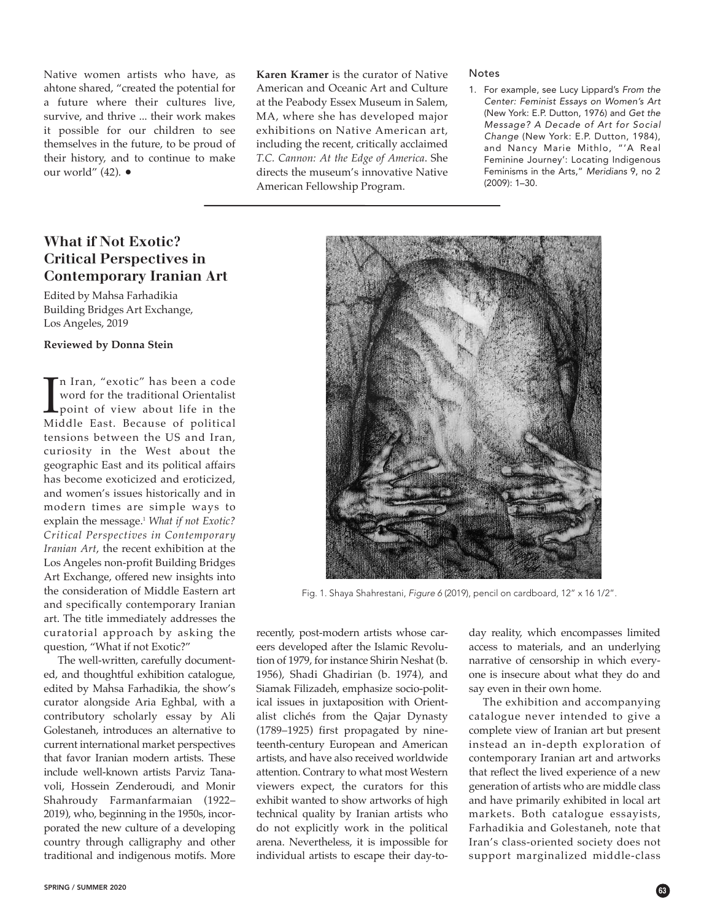Native women artists who have, as ahtone shared, "created the potential for a future where their cultures live, survive, and thrive ... their work makes it possible for our children to see themselves in the future, to be proud of their history, and to continue to make our world" (42). •

## **Karen Kramer** is the curator of Native American and Oceanic Art and Culture at the Peabody Essex Museum in Salem, MA, where she has developed major exhibitions on Native American art, including the recent, critically acclaimed *T.C. Cannon: At the Edge of America*. She directs the museum's innovative Native American Fellowship Program.

recently, post-modern artists whose car-

alist clichés from the Qajar Dynasty (1789–1925) first propagated by nineteenth-century European and American artists, and have also received worldwide attention. Contrary to what most Western viewers expect, the curators for this exhibit wanted to show artworks of high technical quality by Iranian artists who do not explicitly work in the political arena. Nevertheless, it is impossible for individual artists to escape their day-to-

# **What if Not Exotic? Critical Perspectives in Contemporary Iranian Art**

Edited by Mahsa Farhadikia Building Bridges Art Exchange, Los Angeles, 2019

#### **Reviewed by Donna Stein**

 $\prod_{\text{Mii}}$ n Iran, "exotic" has been a code word for the traditional Orientalist point of view about life in the Middle East. Because of political tensions between the US and Iran, curiosity in the West about the geographic East and its political affairs has become exoticized and eroticized, and women's issues historically and in modern times are simple ways to explain the message. <sup>1</sup> *What if not Exotic? Critical Perspectives in Contemporary Iranian Art*, the recent exhibition at the Los Angeles non-profit Building Bridges Art Exchange, offered new insights into the consideration of Middle Eastern art and specifically contemporary Iranian art. The title immediately addresses the curatorial approach by asking the question, "What if not Exotic?"

The well-written, carefully documented, and thoughtful exhibition catalogue, edited by Mahsa Farhadikia, the show's curator alongside Aria Eghbal, with a contributory scholarly essay by Ali Golestaneh, introduces an alternative to current international market perspectives that favor Iranian modern artists. These include well-known artists Parviz Tanavoli, Hossein Zenderoudi, and Monir Shahroudy Farmanfarmaian (1922– 2019), who, beginning in the 1950s, incorporated the new culture of a developing country through calligraphy and other traditional and indigenous motifs. More

eers developed after the Islamic Revolution of 1979, for instance Shirin Neshat (b. 1956), Shadi Ghadirian (b. 1974), and Siamak Filizadeh, emphasize socio-political issues in juxtaposition with Orientaccess to materials, and an underlying narrative of censorship in which everyone is insecure about what they do and say even in their own home.

The exhibition and accompanying catalogue never intended to give a complete view of Iranian art but present instead an in-depth exploration of contemporary Iranian art and artworks that reflect the lived experience of a new generation of artists who are middle class and have primarily exhibited in local art markets. Both catalogue essayists, Farhadikia and Golestaneh, note that Iran's class-oriented society does not support marginalized middle-class

day reality, which encompasses limited

#### Notes

1. For example, see Lucy Lippard's *From the Center: Feminist Essays on Women's Art* (New York: E.P. Dutton, 1976) and *Get the Message? A Decade of Art for Social Change* (New York: E.P. Dutton, 1984), and Nancy Marie Mithlo, "'A Real Feminine Journey': Locating Indigenous Feminisms in the Arts," *Meridians* 9, no 2 (2009): 1–30.



Fig. 1. Shaya Shahrestani, Figure 6 (2019), pencil on cardboard, 12" x 16 1/2".